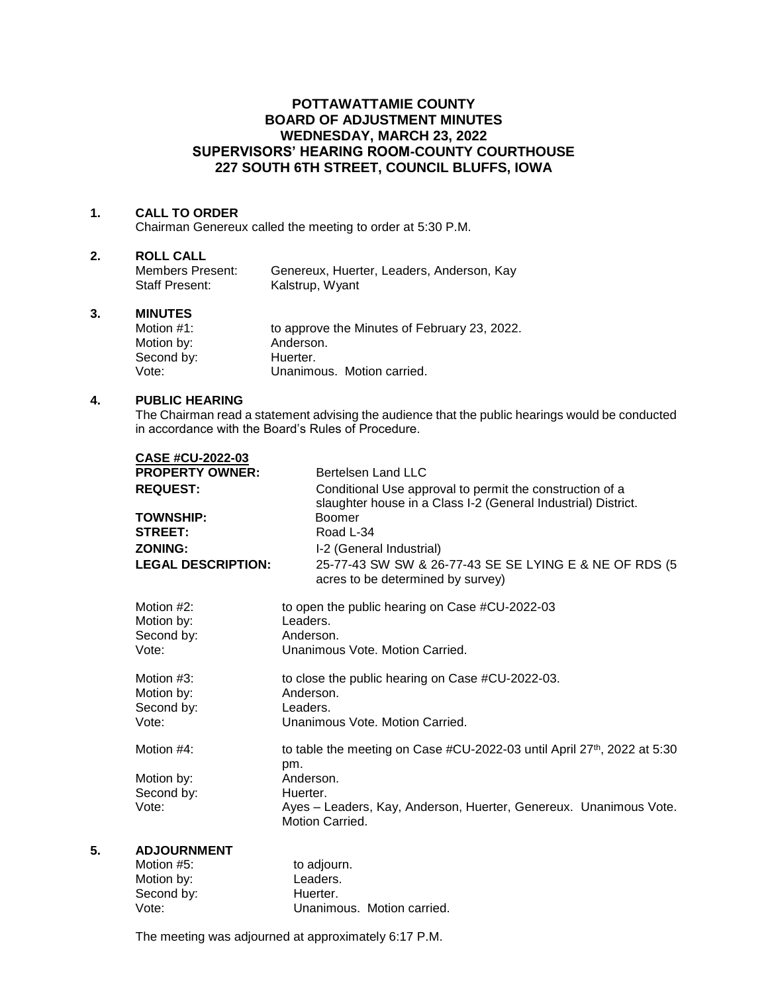# **POTTAWATTAMIE COUNTY BOARD OF ADJUSTMENT MINUTES WEDNESDAY, MARCH 23, 2022 SUPERVISORS' HEARING ROOM-COUNTY COURTHOUSE 227 SOUTH 6TH STREET, COUNCIL BLUFFS, IOWA**

## **1. CALL TO ORDER**

Chairman Genereux called the meeting to order at 5:30 P.M.

### **2. ROLL CALL**

| Members Present: | Genereux, Huerter, Leaders, Anderson, Kay |
|------------------|-------------------------------------------|
| Staff Present:   | Kalstrup, Wyant                           |

#### **3. MINUTES**

| Motion #1: | to approve the Minutes of February 23, 2022. |
|------------|----------------------------------------------|
| Motion by: | Anderson.                                    |
| Second by: | Huerter.                                     |
| Vote:      | Unanimous. Motion carried.                   |

## **4. PUBLIC HEARING**

The Chairman read a statement advising the audience that the public hearings would be conducted in accordance with the Board's Rules of Procedure.

| <b>CASE #CU-2022-03</b>   |                                                                                                                           |  |
|---------------------------|---------------------------------------------------------------------------------------------------------------------------|--|
| <b>PROPERTY OWNER:</b>    | Bertelsen Land LLC                                                                                                        |  |
| <b>REQUEST:</b>           | Conditional Use approval to permit the construction of a<br>slaughter house in a Class I-2 (General Industrial) District. |  |
| <b>TOWNSHIP:</b>          | <b>Boomer</b>                                                                                                             |  |
| <b>STREET:</b>            | Road L-34                                                                                                                 |  |
| <b>ZONING:</b>            | I-2 (General Industrial)                                                                                                  |  |
| <b>LEGAL DESCRIPTION:</b> | 25-77-43 SW SW & 26-77-43 SE SE LYING E & NE OF RDS (5<br>acres to be determined by survey)                               |  |
| Motion #2:<br>Motion by:  | to open the public hearing on Case #CU-2022-03<br>Leaders.                                                                |  |
| Second by:                | Anderson.                                                                                                                 |  |
| Vote:                     | Unanimous Vote. Motion Carried.                                                                                           |  |
|                           |                                                                                                                           |  |
| Motion #3:                | to close the public hearing on Case #CU-2022-03.                                                                          |  |
| Motion by:                | Anderson.                                                                                                                 |  |
| Second by:                | Leaders.                                                                                                                  |  |
| Vote:                     | Unanimous Vote, Motion Carried.                                                                                           |  |
| Motion #4:                | to table the meeting on Case #CU-2022-03 until April 27th, 2022 at 5:30<br>pm.                                            |  |
| Motion by:                | Anderson.                                                                                                                 |  |
| Second by:                | Huerter.                                                                                                                  |  |
| Vote:                     | Ayes - Leaders, Kay, Anderson, Huerter, Genereux. Unanimous Vote.<br><b>Motion Carried.</b>                               |  |
| AD IOUDNMENT              |                                                                                                                           |  |

# **5. ADJOURNMENT**

| Motion #5: | to adjourn.                |
|------------|----------------------------|
| Motion by: | Leaders.                   |
| Second by: | Huerter.                   |
| Vote:      | Unanimous. Motion carried. |
|            |                            |

The meeting was adjourned at approximately 6:17 P.M.